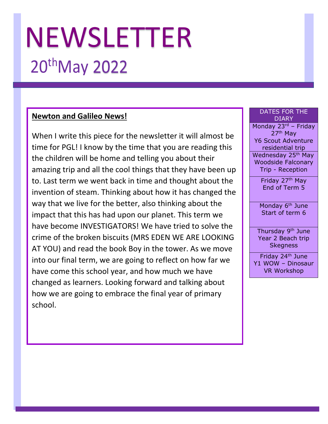# NEWSLETTER 20th May 2022

#### **Newton and Galileo News!**

When I write this piece for the newsletter it will almost be time for PGL! I know by the time that you are reading this the children will be home and telling you about their amazing trip and all the cool things that they have been up to. Last term we went back in time and thought about the invention of steam. Thinking about how it has changed the way that we live for the better, also thinking about the impact that this has had upon our planet. This term we have become INVESTIGATORS! We have tried to solve the crime of the broken biscuits (MRS EDEN WE ARE LOOKING AT YOU) and read the book Boy in the tower. As we move into our final term, we are going to reflect on how far we have come this school year, and how much we have changed as learners. Looking forward and talking about how we are going to embrace the final year of primary school.

#### DATES FOR THE DIARY

Monday 23rd - Friday 27th May Y6 Scout Adventure residential trip Wednesday 25<sup>th</sup> May Woodside Falconary Trip - Reception

> Friday 27<sup>th</sup> May End of Term 5

Monday 6<sup>th</sup> June Start of term 6

Thursday 9<sup>th</sup> June Year 2 Beach trip Skegness

Friday 24<sup>th</sup> June Y1 WOW – Dinosaur VR Workshop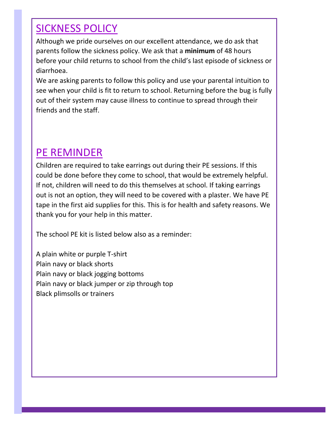#### SICKNESS POLICY

Although we pride ourselves on our excellent attendance, we do ask that parents follow the sickness policy. We ask that a **minimum** of 48 hours before your child returns to school from the child's last episode of sickness or diarrhoea.

We are asking parents to follow this policy and use your parental intuition to see when your child is fit to return to school. Returning before the bug is fully out of their system may cause illness to continue to spread through their friends and the staff.

### PE REMINDER

Children are required to take earrings out during their PE sessions. If this could be done before they come to school, that would be extremely helpful. If not, children will need to do this themselves at school. If taking earrings out is not an option, they will need to be covered with a plaster. We have PE tape in the first aid supplies for this. This is for health and safety reasons. We thank you for your help in this matter.

The school PE kit is listed below also as a reminder:

A plain white or purple T-shirt Plain navy or black shorts Plain navy or black jogging bottoms Plain navy or black jumper or zip through top Black plimsolls or trainers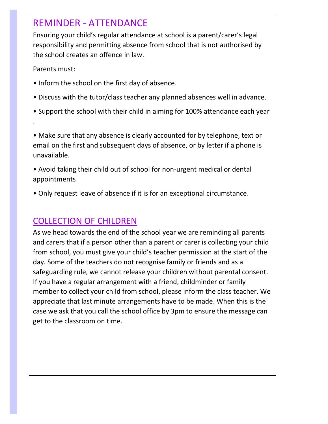#### REMINDER - ATTENDANCE

Ensuring your child's regular attendance at school is a parent/carer's legal responsibility and permitting absence from school that is not authorised by the school creates an offence in law.

Parents must:

.

- Inform the school on the first day of absence.
- Discuss with the tutor/class teacher any planned absences well in advance.
- Support the school with their child in aiming for 100% attendance each year

• Make sure that any absence is clearly accounted for by telephone, text or email on the first and subsequent days of absence, or by letter if a phone is unavailable.

- Avoid taking their child out of school for non-urgent medical or dental appointments
- Only request leave of absence if it is for an exceptional circumstance.

#### COLLECTION OF CHILDREN

As we head towards the end of the school year we are reminding all parents and carers that if a person other than a parent or carer is collecting your child from school, you must give your child's teacher permission at the start of the day. Some of the teachers do not recognise family or friends and as a safeguarding rule, we cannot release your children without parental consent. If you have a regular arrangement with a friend, childminder or family member to collect your child from school, please inform the class teacher. We appreciate that last minute arrangements have to be made. When this is the case we ask that you call the school office by 3pm to ensure the message can get to the classroom on time.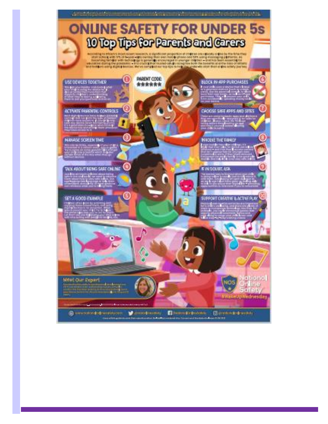#### **ONLINE SAFETY FOR UNDER 5s** to the the share for the full of the A BEVOGABATANI KORA KORAGURA KOMBINA IS <u> Estados de la dela contra Est</u> (C) PARENT CODE: USE DEVICES TOGETWER **BLOCK HV-RPP PURCHASES** \*\*\*\*\*\* bearing the control of CHOOSE SWEE APPS AND SITES ACTIVATE PARENTAL CONTROLS  $\left( \frac{1}{2} \right)$  ,  $\left( \frac{1}{2} \right)$  $\mathcal{L} \in \mathcal{L}^2$ **NAVAGE SCREEN TIME INVOLVE TIME FAMILY BERTH MILLER Little State** CH. **TAX AROUT BEING SAFE CHUNE E IN DOUBT, ASK**  $\mathcal{L}$ SET A GOOD EXHITLE SUPPORT CREATIVE & ACTIVE PLAN Setienal<br>Stillne **Mevi Our Expert** 4DS Safety<br>Wate Jowednesday ×

Convenient-framework Convenience Discussive Convenience